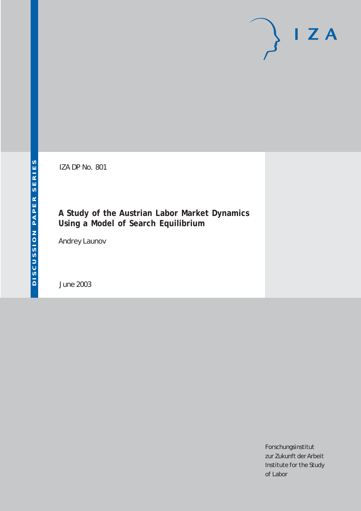# $I Z A$

IZA DP No. 801

### **A Study of the Austrian Labor Market Dynamics Using a Model of Search Equilibrium**

Andrey Launov

June 2003

Forschungsinstitut zur Zukunft der Arbeit Institute for the Study of Labor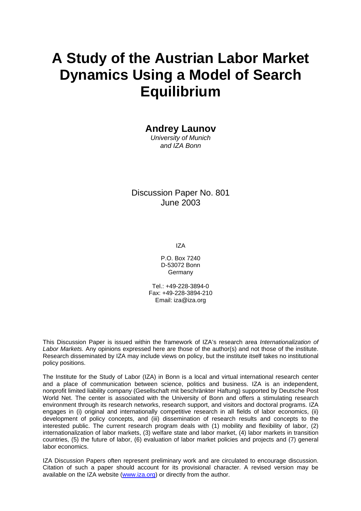# **A Study of the Austrian Labor Market Dynamics Using a Model of Search Equilibrium**

#### **Andrey Launov**

*University of Munich and IZA Bonn* 

Discussion Paper No. 801 June 2003

IZA

P.O. Box 7240 D-53072 Bonn Germany

Tel.: +49-228-3894-0 Fax: +49-228-3894-210 Email: [iza@iza.org](mailto:iza@iza.org)

This Discussion Paper is issued within the framework of IZA's research area *Internationalization of Labor Markets.* Any opinions expressed here are those of the author(s) and not those of the institute. Research disseminated by IZA may include views on policy, but the institute itself takes no institutional policy positions.

The Institute for the Study of Labor (IZA) in Bonn is a local and virtual international research center and a place of communication between science, politics and business. IZA is an independent, nonprofit limited liability company (Gesellschaft mit beschränkter Haftung) supported by Deutsche Post World Net. The center is associated with the University of Bonn and offers a stimulating research environment through its research networks, research support, and visitors and doctoral programs. IZA engages in (i) original and internationally competitive research in all fields of labor economics, (ii) development of policy concepts, and (iii) dissemination of research results and concepts to the interested public. The current research program deals with (1) mobility and flexibility of labor, (2) internationalization of labor markets, (3) welfare state and labor market, (4) labor markets in transition countries, (5) the future of labor, (6) evaluation of labor market policies and projects and (7) general labor economics.

IZA Discussion Papers often represent preliminary work and are circulated to encourage discussion. Citation of such a paper should account for its provisional character. A revised version may be available on the IZA website ([www.iza.org](http://www.iza.org/)) or directly from the author.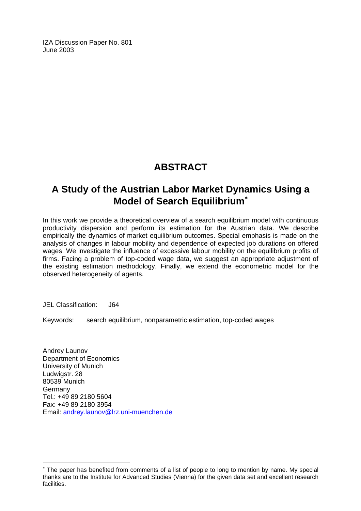IZA Discussion Paper No. 801 June 2003

# **ABSTRACT**

## **A Study of the Austrian Labor Market Dynamics Using a Model of Search Equilibrium**[∗](#page-2-0)

In this work we provide a theoretical overview of a search equilibrium model with continuous productivity dispersion and perform its estimation for the Austrian data. We describe empirically the dynamics of market equilibrium outcomes. Special emphasis is made on the analysis of changes in labour mobility and dependence of expected job durations on offered wages. We investigate the influence of excessive labour mobility on the equilibrium profits of firms. Facing a problem of top-coded wage data, we suggest an appropriate adjustment of the existing estimation methodology. Finally, we extend the econometric model for the observed heterogeneity of agents.

JEL Classification: J64

 $\overline{a}$ 

Keywords: search equilibrium, nonparametric estimation, top-coded wages

Andrey Launov Department of Economics University of Munich Ludwigstr. 28 80539 Munich Germany Tel.: +49 89 2180 5604 Fax: +49 89 2180 3954 Email: [andrey.launov@lrz.uni-muenchen.de](mailto:andrey.launov@lrz.uni-muenchen.de)

<span id="page-2-0"></span><sup>∗</sup> The paper has benefited from comments of a list of people to long to mention by name. My special thanks are to the Institute for Advanced Studies (Vienna) for the given data set and excellent research facilities.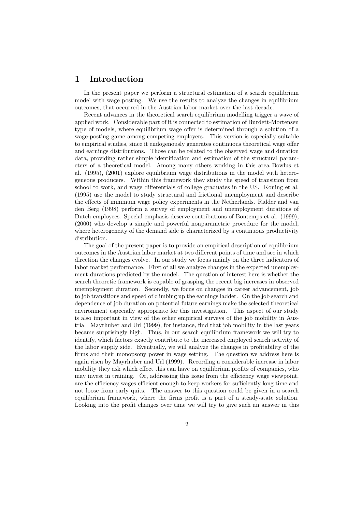#### 1 Introduction

In the present paper we perform a structural estimation of a search equilibrium model with wage posting. We use the results to analyze the changes in equilibrium outcomes, that occurred in the Austrian labor market over the last decade.

Recent advances in the theoretical search equilibrium modelling trigger a wave of applied work. Considerable part of it is connected to estimation of Burdett-Mortensen type of models, where equilibrium wage offer is determined through a solution of a wage-posting game among competing employers. This version is especially suitable to empirical studies, since it endogenously generates continuous theoretical wage offer and earnings distributions. Those can be related to the observed wage and duration data, providing rather simple identification and estimation of the structural parameters of a theoretical model. Among many others working in this area Bowlus et al. (1995), (2001) explore equilibrium wage distributions in the model with heterogeneous producers. Within this framework they study the speed of transition from school to work, and wage differentials of college graduates in the US. Koning et al. (1995) use the model to study structural and frictional unemployment and describe the effects of minimum wage policy experiments in the Netherlands. Ridder and van den Berg (1998) perform a survey of employment and unemployment durations of Dutch employees. Special emphasis deserve contributions of Bontemps et al. (1999), (2000) who develop a simple and powerful nonparametric procedure for the model, where heterogeneity of the demand side is characterized by a continuous productivity distribution.

The goal of the present paper is to provide an empirical description of equilibrium outcomes in the Austrian labor market at two different points of time and see in which direction the changes evolve. In our study we focus mainly on the three indicators of labor market performance. First of all we analyze changes in the expected unemployment durations predicted by the model. The question of interest here is whether the search theoretic framework is capable of grasping the recent big increases in observed unemployment duration. Secondly, we focus on changes in career advancement, job to job transitions and speed of climbing up the earnings ladder. On the job search and dependence of job duration on potential future earnings make the selected theoretical environment especially appropriate for this investigation. This aspect of our study is also important in view of the other empirical surveys of the job mobility in Austria. Mayrhuber and Url (1999), for instance, find that job mobility in the last years became surprisingly high. Thus, in our search equilibrium framework we will try to identify, which factors exactly contribute to the increased employed search activity of the labor supply side. Eventually, we will analyze the changes in profitability of the firms and their monopsony power in wage setting. The question we address here is again risen by Mayrhuber and Url (1999). Recording a considerable increase in labor mobility they ask which effect this can have on equilibrium profits of companies, who may invest in training. Or, addressing this issue from the efficiency wage viewpoint, are the efficiency wages efficient enough to keep workers for sufficiently long time and not loose from early quits. The answer to this question could be given in a search equilibrium framework, where the firms profit is a part of a steady-state solution. Looking into the profit changes over time we will try to give such an answer in this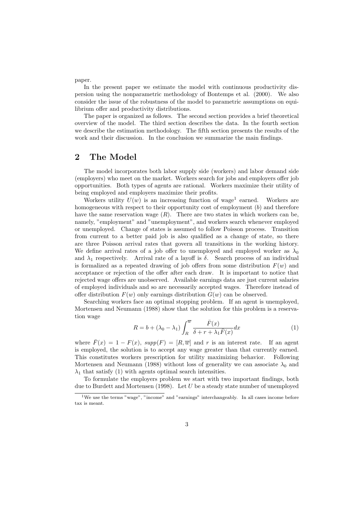paper.

In the present paper we estimate the model with continuous productivity dispersion using the nonparametric methodology of Bontemps et al. (2000). We also consider the issue of the robustness of the model to parametric assumptions on equilibrium offer and productivity distributions.

The paper is organized as follows. The second section provides a brief theoretical overview of the model. The third section describes the data. In the fourth section we describe the estimation methodology. The fifth section presents the results of the work and their discussion. In the conclusion we summarize the main findings.

#### 2 The Model

The model incorporates both labor supply side (workers) and labor demand side (employers) who meet on the market. Workers search for jobs and employers offer job opportunities. Both types of agents are rational. Workers maximize their utility of being employed and employers maximize their profits.

Workers utility  $U(w)$  is an increasing function of wage<sup>1</sup> earned. Workers are homogeneous with respect to their opportunity cost of employment (b) and therefore have the same reservation wage  $(R)$ . There are two states in which workers can be, namely, "employment" and "unemployment", and workers search whenever employed or unemployed. Change of states is assumed to follow Poisson process. Transition from current to a better paid job is also qualified as a change of state, so there are three Poisson arrival rates that govern all transitions in the working history. We define arrival rates of a job offer to unemployed and employed worker as  $\lambda_0$ and  $\lambda_1$  respectively. Arrival rate of a layoff is  $\delta$ . Search process of an individual is formalized as a repeated drawing of job offers from some distribution  $F(w)$  and acceptance or rejection of the offer after each draw. It is important to notice that rejected wage offers are unobserved. Available earnings data are just current salaries of employed individuals and so are necessarily accepted wages. Therefore instead of offer distribution  $F(w)$  only earnings distribution  $G(w)$  can be observed.

Searching workers face an optimal stopping problem. If an agent is unemployed, Mortensen and Neumann (1988) show that the solution for this problem is a reservation wage

$$
R = b + (\lambda_0 - \lambda_1) \int_R^{\overline{w}} \frac{\overline{F}(x)}{\delta + r + \lambda_1 \overline{F}(x)} dx
$$
 (1)

where  $\bar{F}(x) = 1 - F(x)$ ,  $supp(F) = [R, \overline{w}]$  and r is an interest rate. If an agent is employed, the solution is to accept any wage greater than that currently earned. This constitutes workers prescription for utility maximizing behavior. Following Mortensen and Neumann (1988) without loss of generality we can associate  $\lambda_0$  and  $\lambda_1$  that satisfy (1) with agents optimal search intensities.

To formulate the employers problem we start with two important findings, both due to Burdett and Mortensen (1998). Let  $U$  be a steady state number of unemployed

<sup>&</sup>lt;sup>1</sup>We use the terms "wage", "income" and "earnings" interchangeably. In all cases income before tax is meant.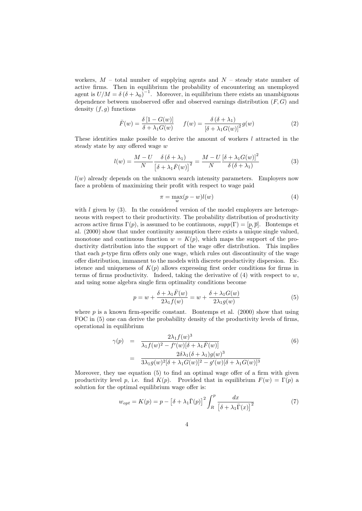workers,  $M$  – total number of supplying agents and  $N$  – steady state number of active firms. Then in equilibrium the probability of encountering an unemployed agent is  $U/M = \delta (\delta + \lambda_0)^{-1}$ . Moreover, in equilibrium there exists an unambiguous dependence between unobserved offer and observed earnings distribution  $(F, G)$  and density  $(f, g)$  functions

$$
\bar{F}(w) = \frac{\delta [1 - G(w)]}{\delta + \lambda_1 G(w)} \qquad f(w) = \frac{\delta (\delta + \lambda_1)}{\left[\delta + \lambda_1 G(w)\right]^2} g(w) \tag{2}
$$

These identities make possible to derive the amount of workers  $l$  attracted in the steady state by any offered wage w

$$
l(w) = \frac{M - U}{N} \frac{\delta(\delta + \lambda_1)}{\left[\delta + \lambda_1 \bar{F}(w)\right]^2} = \frac{M - U}{N} \frac{\left[\delta + \lambda_1 G(w)\right]^2}{\delta(\delta + \lambda_1)}
$$
(3)

 $l(w)$  already depends on the unknown search intensity parameters. Employers now face a problem of maximizing their profit with respect to wage paid

$$
\pi = \max_{w} (p - w) l(w) \tag{4}
$$

with  $l$  given by  $(3)$ . In the considered version of the model employers are heterogeneous with respect to their productivity. The probability distribution of productivity across active firms  $\Gamma(p)$ , is assumed to be continuous,  $supp(\Gamma) = [p, \bar{p}]$ . Bontemps et al. (2000) show that under continuity assumption there exists a unique single valued, monotone and continuous function  $w = K(p)$ , which maps the support of the productivity distribution into the support of the wage offer distribution. This implies that each  $p$ -type firm offers only one wage, which rules out discontinuity of the wage offer distribution, immanent to the models with discrete productivity dispersion. Existence and uniqueness of  $K(p)$  allows expressing first order conditions for firms in terms of firms productivity. Indeed, taking the derivative of  $(4)$  with respect to w, and using some algebra single firm optimality conditions become

$$
p = w + \frac{\delta + \lambda_1 \bar{F}(w)}{2\lambda_1 f(w)} = w + \frac{\delta + \lambda_1 G(w)}{2\lambda_1 g(w)}
$$
(5)

where  $p$  is a known firm-specific constant. Bontemps et al. (2000) show that using FOC in (5) one can derive the probability density of the productivity levels of firms, operational in equilibrium

$$
\gamma(p) = \frac{2\lambda_1 f(w)^3}{\lambda_1 f(w)^2 - f'(w)[\delta + \lambda_1 \bar{F}(w)]}
$$
\n
$$
= \frac{2\delta\lambda_1 (\delta + \lambda_1)g(w)^3}{3\lambda_1 g(w)^2[\delta + \lambda_1 G(w)]^2 - g'(w)[\delta + \lambda_1 G(w)]^3}
$$
\n(6)

Moreover, they use equation (5) to find an optimal wage offer of a firm with given productivity level p, i.e. find K(p). Provided that in equilibrium  $F(w) = \Gamma(p)$  a solution for the optimal equilibrium wage offer is:

$$
w_{opt} = K(p) = p - \left[\delta + \lambda_1 \bar{\Gamma}(p)\right]^2 \int_R^p \frac{dx}{\left[\delta + \lambda_1 \bar{\Gamma}(x)\right]^2}
$$
(7)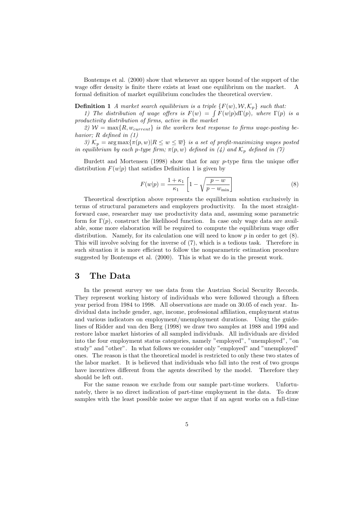Bontemps et al. (2000) show that whenever an upper bound of the support of the wage offer density is finite there exists at least one equilibrium on the market. A formal definition of market equilibrium concludes the theoretical overview.

**Definition 1** A market search equilibrium is a triple  $\{F(w), \mathcal{W}, \mathcal{K}_p\}$  such that:

1) The distribution of wage offers is  $F(w) = \int F(w|p) d\Gamma(p)$ , where  $\Gamma(p)$  is a productivity distribution of firms, active in the market

2)  $W = \max\{R, w_{current}\}\$ is the workers best response to firms wage-posting behavior; R defined in  $(1)$ 

3)  $\mathcal{K}_p = \arg \max \{ \pi(p, w) | R \leq w \leq \overline{w} \}$  is a set of profit-maximizing wages posted in equilibrium by each p-type firm;  $\pi(p, w)$  defined in (4) and  $\mathcal{K}_p$  defined in (7)

Burdett and Mortensen (1998) show that for any  $p$ -type firm the unique offer distribution  $F(w|p)$  that satisfies Definition 1 is given by

$$
F(w|p) = \frac{1 + \kappa_1}{\kappa_1} \left[ 1 - \sqrt{\frac{p - w}{p - w_{\min}}} \right]
$$
 (8)

Theoretical description above represents the equilibrium solution exclusively in terms of structural parameters and employers productivity. In the most straightforward case, researcher may use productivity data and, assuming some parametric form for  $\Gamma(p)$ , construct the likelihood function. In case only wage data are available, some more elaboration will be required to compute the equilibrium wage offer distribution. Namely, for its calculation one will need to know  $p$  in order to get  $(8)$ . This will involve solving for the inverse of (7), which is a tedious task. Therefore in such situation it is more efficient to follow the nonparametric estimation procedure suggested by Bontemps et al. (2000). This is what we do in the present work.

#### 3 The Data

In the present survey we use data from the Austrian Social Security Records. They represent working history of individuals who were followed through a fifteen year period from 1984 to 1998. All observations are made on 30.05 of each year. Individual data include gender, age, income, professional affiliation, employment status and various indicators on employment/unemployment durations. Using the guidelines of Ridder and van den Berg (1998) we draw two samples at 1988 and 1994 and restore labor market histories of all sampled individuals. All individuals are divided into the four employment status categories, namely "employed", "unemployed", "on study" and "other". In what follows we consider only "employed" and "unemployed" ones. The reason is that the theoretical model is restricted to only these two states of the labor market. It is believed that individuals who fall into the rest of two groups have incentives different from the agents described by the model. Therefore they should be left out.

For the same reason we exclude from our sample part-time workers. Unfortunately, there is no direct indication of part-time employment in the data. To draw samples with the least possible noise we argue that if an agent works on a full-time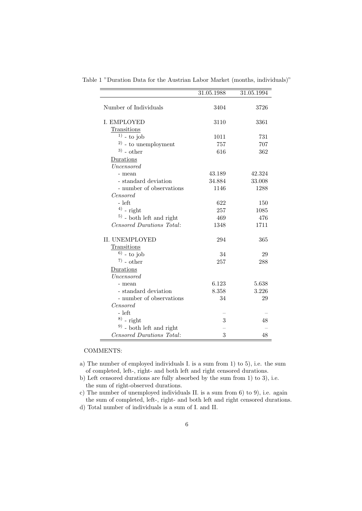|                             | 31.05.1988 | 31.05.1994 |
|-----------------------------|------------|------------|
| Number of Individuals       | 3404       | 3726       |
|                             |            |            |
| I. EMPLOYED                 | 3110       | 3361       |
| Transitions                 |            |            |
| $1)$ - to job               | 1011       | 731        |
| $^{2)}$ - to unemployment   | 757        | 707        |
| $3)$ - other                | 616        | 362        |
| Durations                   |            |            |
| Uncensored                  |            |            |
| - mean                      | 43.189     | 42.324     |
| - standard deviation        | 34.884     | 33.008     |
| - number of observations    | 1146       | 1288       |
| <i>Censored</i>             |            |            |
| - left                      | 622        | 150        |
| $4)$ - right                | 257        | 1085       |
| $5$ ) - both left and right | 469        | 476        |
| Censored Durations Total:   | 1348       | 1711       |
| <b>II. UNEMPLOYED</b>       | 294        | 365        |
| Transitions                 |            |            |
| $^{6)}$ - to job            | 34         | 29         |
| $^{7)}$ - other             | 257        | 288        |
| Durations                   |            |            |
| Uncensored                  |            |            |
| - mean                      | 6.123      | 5.638      |
| - standard deviation        | 8.358      | 3.226      |
| - number of observations    | 34         | 29         |
| Censored                    |            |            |
| - left                      |            |            |
| $^{8)}$ - right             | 3          | 48         |
| $9)$ - both left and right  |            |            |
| Censored Durations Total:   | 3          | 48         |

Table 1 "Duration Data for the Austrian Labor Market (months, individuals)"

COMMENTS:

- a) The number of employed individuals I. is a sum from 1) to 5), i.e. the sum of completed, left-, right- and both left and right censored durations.
- b) Left censored durations are fully absorbed by the sum from 1) to 3), i.e. the sum of right-observed durations.
- c) The number of unemployed individuals II. is a sum from 6) to 9), i.e. again the sum of completed, left-, right- and both left and right censored durations.
- d) Total number of individuals is a sum of I. and II.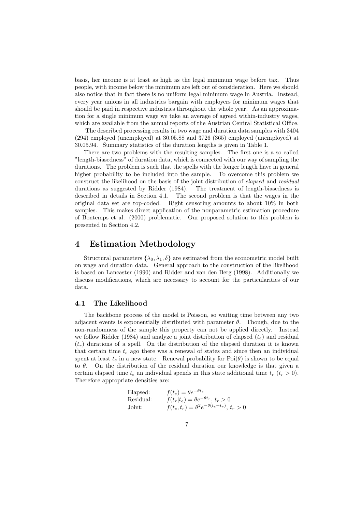basis, her income is at least as high as the legal minimum wage before tax. Thus people, with income below the minimum are left out of consideration. Here we should also notice that in fact there is no uniform legal minimum wage in Austria. Instead, every year unions in all industries bargain with employers for minimum wages that should be paid in respective industries throughout the whole year. As an approximation for a single minimum wage we take an average of agreed within-industry wages, which are available from the annual reports of the Austrian Central Statistical Office.

The described processing results in two wage and duration data samples with 3404 (294) employed (unemployed) at 30.05.88 and 3726 (365) employed (unemployed) at 30.05.94. Summary statistics of the duration lengths is given in Table 1.

There are two problems with the resulting samples. The first one is a so called "length-biasedness" of duration data, which is connected with our way of sampling the durations. The problem is such that the spells with the longer length have in general higher probability to be included into the sample. To overcome this problem we construct the likelihood on the basis of the joint distribution of elapsed and residual durations as suggested by Ridder (1984). The treatment of length-biasedness is described in details in Section 4.1. The second problem is that the wages in the original data set are top-coded. Right censoring amounts to about 10% in both samples. This makes direct application of the nonparametric estimation procedure of Bontemps et al. (2000) problematic. Our proposed solution to this problem is presented in Section 4.2.

#### 4 Estimation Methodology

Structural parameters  $\{\lambda_0, \lambda_1, \delta\}$  are estimated from the econometric model built on wage and duration data. General approach to the construction of the likelihood is based on Lancaster (1990) and Ridder and van den Berg (1998). Additionally we discuss modifications, which are necessary to account for the particularities of our data.

#### 4.1 The Likelihood

The backbone process of the model is Poisson, so waiting time between any two adjacent events is exponentially distributed with parameter  $\theta$ . Though, due to the non-randomness of the sample this property can not be applied directly. Instead we follow Ridder (1984) and analyze a joint distribution of elapsed  $(t_e)$  and residual  $(t_r)$  durations of a spell. On the distribution of the elapsed duration it is known that certain time  $t_e$  ago there was a renewal of states and since then an individual spent at least  $t_e$  in a new state. Renewal probability for  $Poi(\theta)$  is shown to be equal to  $\theta$ . On the distribution of the residual duration our knowledge is that given a certain elapsed time  $t_e$  an individual spends in this state additional time  $t_r$   $(t_r > 0)$ . Therefore appropriate densities are:

Elapsed:

\n
$$
f(t_e) = \theta e^{-\theta t_e}
$$
\nResidual:

\n
$$
f(t_r|t_e) = \theta e^{-\theta t_r}, t_r > 0
$$
\nJoint:

\n
$$
f(t_e, t_r) = \theta^2 e^{-\theta (t_e + t_r)}, t_r > 0
$$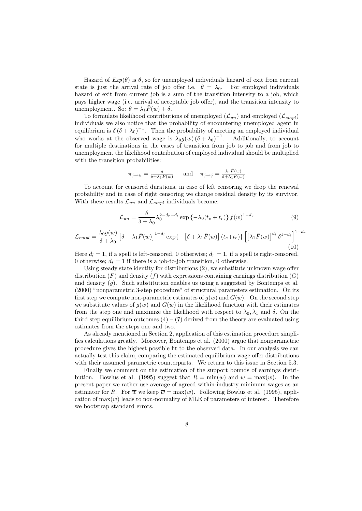Hazard of  $Exp(\theta)$  is  $\theta$ , so for unemployed individuals hazard of exit from current state is just the arrival rate of job offer i.e.  $\theta = \lambda_0$ . For employed individuals hazard of exit from current job is a sum of the transition intensity to a job, which pays higher wage (i.e. arrival of acceptable job offer), and the transition intensity to unemployment. So:  $\theta = \lambda_1 \overline{F}(w) + \delta$ .

To formulate likelihood contributions of unemployed  $(\mathcal{L}_{un})$  and employed  $(\mathcal{L}_{empl})$ individuals we also notice that the probability of encountering unemployed agent in equilibrium is  $\delta (\delta + \lambda_0)^{-1}$ . Then the probability of meeting an employed individual who works at the observed wage is  $\lambda_0 g(w) (\delta + \lambda_0)^{-1}$ . Additionally, to account for multiple destinations in the cases of transition from job to job and from job to unemployment the likelihood contribution of employed individual should be multiplied with the transition probabilities:

$$
\pi_{j \to u} = \frac{\delta}{\delta + \lambda_1 \bar{F}(w)} \quad \text{and} \quad \pi_{j \to j} = \frac{\lambda_1 \bar{F}(w)}{\delta + \lambda_1 \bar{F}(w)}
$$

To account for censored durations, in case of left censoring we drop the renewal probability and in case of right censoring we change residual density by its survivor. With these results  $\mathcal{L}_{un}$  and  $\mathcal{L}_{empl}$  individuals become:

$$
\mathcal{L}_{un} = \frac{\delta}{\delta + \lambda_0} \lambda_0^{2 - d_r - d_l} \exp \left\{ -\lambda_0 (t_e + t_r) \right\} f(w)^{1 - d_r} \tag{9}
$$

$$
\mathcal{L}_{empl} = \frac{\lambda_0 g(w)}{\delta + \lambda_0} \left[ \delta + \lambda_1 \bar{F}(w) \right]^{1 - d_l} \exp\{-\left[ \delta + \lambda_1 \bar{F}(w) \right] (t_e + t_r) \} \left[ \left[ \lambda_1 \bar{F}(w) \right]^{d_t} \delta^{1 - d_t} \right]^{1 - d_r}
$$
\n(10)

Here  $d_l = 1$ , if a spell is left-censored, 0 otherwise;  $d_r = 1$ , if a spell is right-censored, 0 otherwise;  $d_t = 1$  if there is a job-to-job transition, 0 otherwise.

Using steady state identity for distributions (2), we substitute unknown wage offer distribution  $(F)$  and density  $(f)$  with expressions containing earnings distribution  $(G)$ and density  $(q)$ . Such substitution enables us using a suggested by Bontemps et al. (2000) "nonparametric 3-step procedure" of structural parameters estimation. On its first step we compute non-parametric estimates of  $g(w)$  and  $G(w)$ . On the second step we substitute values of  $q(w)$  and  $G(w)$  in the likelihood function with their estimates from the step one and maximize the likelihood with respect to  $\lambda_0, \lambda_1$  and  $\delta$ . On the third step equilibrium outcomes  $(4) - (7)$  derived from the theory are evaluated using estimates from the steps one and two.

As already mentioned in Section 2, application of this estimation procedure simplifies calculations greatly. Moreover, Bontemps et al. (2000) argue that nonparametric procedure gives the highest possible fit to the observed data. In our analysis we can actually test this claim, comparing the estimated equilibrium wage offer distributions with their assumed parametric counterparts. We return to this issue in Section 5.3.

Finally we comment on the estimation of the support bounds of earnings distribution. Bowlus et al. (1995) suggest that  $R = \min(w)$  and  $\overline{w} = \max(w)$ . In the present paper we rather use average of agreed within-industry minimum wages as an estimator for R. For  $\overline{w}$  we keep  $\overline{w} = \max(w)$ . Following Bowlus et al. (1995), application of  $\max(w)$  leads to non-normality of MLE of parameters of interest. Therefore we bootstrap standard errors.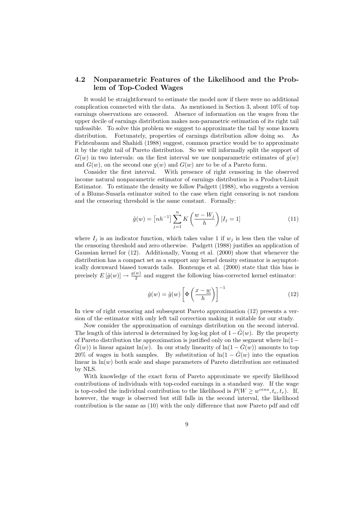#### 4.2 Nonparametric Features of the Likelihood and the Problem of Top-Coded Wages

It would be straightforward to estimate the model now if there were no additional complication connected with the data. As mentioned in Section 3, about 10% of top earnings observations are censored. Absence of information on the wages from the upper decile of earnings distribution makes non-parametric estimation of its right tail unfeasible. To solve this problem we suggest to approximate the tail by some known distribution. Fortunately, properties of earnings distribution allow doing so. As Fichtenbaum and Shahidi (1988) suggest, common practice would be to approximate it by the right tail of Pareto distribution. So we will informally split the support of  $G(w)$  in two intervals: on the first interval we use nonparametric estimates of  $q(w)$ and  $G(w)$ , on the second one  $q(w)$  and  $G(w)$  are to be of a Pareto form.

Consider the first interval. With presence of right censoring in the observed income natural nonparametric estimator of earnings distribution is a Product-Limit Estimator. To estimate the density we follow Padgett (1988), who suggests a version of a Blume-Susarla estimator suited to the case when right censoring is not random and the censoring threshold is the same constant. Formally:

$$
\tilde{g}(w) = \left[ nh^{-1} \right] \sum_{j=1}^{n} K\left(\frac{w - W_j}{h}\right) [I_j = 1]
$$
\n(11)

where  $I_j$  is an indicator function, which takes value 1 if  $w_j$  is less then the value of the censoring threshold and zero otherwise. Padgett (1988) justifies an application of Gaussian kernel for (12). Additionally, Vuong et al. (2000) show that whenever the distribution has a compact set as a support any kernel density estimator is asymptotically downward biased towards tails. Bontemps et al. (2000) state that this bias is precisely  $E[\hat{g}(w)] \to \frac{g(w)}{2}$  and suggest the following bias-corrected kernel estimator:

$$
\hat{g}(w) = \tilde{g}(w) \left[ \Phi \left( \frac{x - w}{h} \right) \right]^{-1} \tag{12}
$$

In view of right censoring and subsequent Pareto approximation (12) presents a version of the estimator with only left tail correction making it suitable for our study.

Now consider the approximation of earnings distribution on the second interval. The length of this interval is determined by log-log plot of  $1-\tilde{G}(w)$ . By the property of Pareto distribution the approximation is justified only on the segment where  $ln(1-\alpha)$  $G(w)$ ) is linear against ln(w). In our study linearity of ln(1 –  $G(w)$ ) amounts to top 20% of wages in both samples. By substitution of  $\ln(1 - \hat{G}(w))$  into the equation linear in  $\ln(w)$  both scale and shape parameters of Pareto distribution are estimated by NLS.

With knowledge of the exact form of Pareto approximate we specify likelihood contributions of individuals with top-coded earnings in a standard way. If the wage is top-coded the individual contribution to the likelihood is  $P(W \geq w^{cens}, t_e, t_r)$ . If, however, the wage is observed but still falls in the second interval, the likelihood contribution is the same as (10) with the only difference that now Pareto pdf and cdf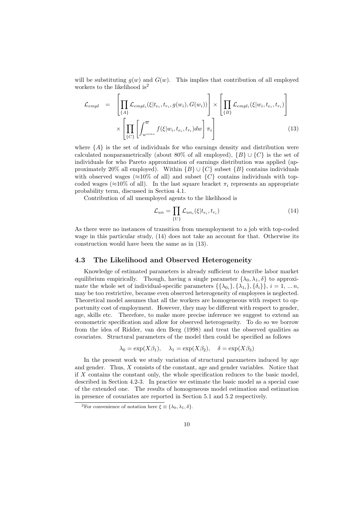will be substituting  $g(w)$  and  $G(w)$ . This implies that contribution of all employed workers to the likelihood is<sup>2</sup>

$$
\mathcal{L}_{empl} = \left[ \prod_{\{A\}} \mathcal{L}_{empl_i}(\xi | t_{e_i}, t_{r_i}, g(w_i), G(w_i)) \right] \times \left[ \prod_{\{B\}} \mathcal{L}_{empl_i}(\xi | w_i, t_{e_i}, t_{r_i}) \right] \times \left[ \prod_{\{C\}} \left[ \int_{w^{cens}}^{\overline{w}} f(\xi | w_i, t_{e_i}, t_{r_i}) dw \right] \pi_i \right] \tag{13}
$$

where  $\{A\}$  is the set of individuals for who earnings density and distribution were calculated nonparametrically (about 80% of all employed),  $\{B\} \cup \{C\}$  is the set of individuals for who Pareto approximation of earnings distribution was applied (approximately 20% all employed). Within  ${B} \cup {C}$  subset  ${B}$  contains individuals with observed wages ( $\approx 10\%$  of all) and subset  $\{C\}$  contains individuals with topcoded wages ( $\approx 10\%$  of all). In the last square bracket  $\pi_i$  represents an appropriate probability term, discussed in Section 4.1.

Contribution of all unemployed agents to the likelihood is

$$
\mathcal{L}_{un} = \prod_{\{U\}} \mathcal{L}_{un_i}(\xi | t_{e_i}, t_{r_i}) \tag{14}
$$

As there were no instances of transition from unemployment to a job with top-coded wage in this particular study, (14) does not take an account for that. Otherwise its construction would have been the same as in (13).

#### 4.3 The Likelihood and Observed Heterogeneity

Knowledge of estimated parameters is already sufficient to describe labor market equilibrium empirically. Though, having a single parameter  $\{\lambda_0, \lambda_1, \delta\}$  to approximate the whole set of individual-specific parameters  $\{\{\lambda_{0i}\},\{\lambda_{1i}\},\{\delta_i\}\}\,$ ,  $i=1,\ldots n$ , may be too restrictive, because even observed heterogeneity of employees is neglected. Theoretical model assumes that all the workers are homogeneous with respect to opportunity cost of employment. However, they may be different with respect to gender, age, skills etc. Therefore, to make more precise inference we suggest to extend an econometric specification and allow for observed heterogeneity. To do so we borrow from the idea of Ridder, van den Berg (1998) and treat the observed qualities as covariates. Structural parameters of the model then could be specified as follows

$$
\lambda_0 = \exp(X\beta_1), \quad \lambda_1 = \exp(X\beta_2), \quad \delta = \exp(X\beta_3)
$$

In the present work we study variation of structural parameters induced by age and gender. Thus, X consists of the constant, age and gender variables. Notice that if  $X$  contains the constant only, the whole specification reduces to the basic model, described in Section 4.2-3. In practice we estimate the basic model as a special case of the extended one. The results of homogeneous model estimation and estimation in presence of covariates are reported in Section 5.1 and 5.2 respectively.

<sup>&</sup>lt;sup>2</sup>For convenience of notation here  $\xi \equiv {\lambda_0, \lambda_1, \delta}.$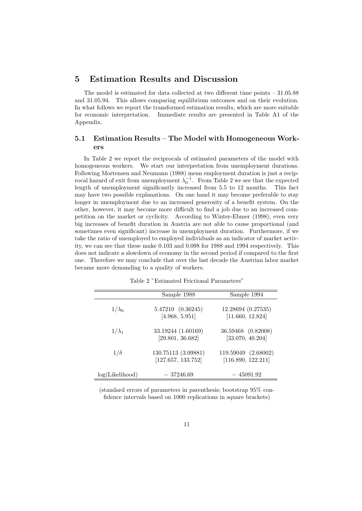#### 5 Estimation Results and Discussion

The model is estimated for data collected at two different time points  $-31.05.88$ and 31.05.94. This allows comparing equilibrium outcomes and on their evolution. In what follows we report the transformed estimation results, which are more suitable for economic interpretation. Immediate results are presented in Table A1 of the Appendix.

#### 5.1 Estimation Results – The Model with Homogeneous Workers

In Table 2 we report the reciprocals of estimated parameters of the model with homogeneous workers. We start our interpretation from unemployment durations. Following Mortensen and Neumann (1988) mean employment duration is just a reciprocal hazard of exit from unemployment  $\lambda_0^{-1}$ . From Table 2 we see that the expected length of unemployment significantly increased from 5.5 to 12 months. This fact may have two possible explanations. On one hand it may become preferable to stay longer in unemployment due to an increased generosity of a benefit system. On the other, however, it may become more difficult to find a job due to an increased competition on the market or cyclicity. According to Winter-Ebmer (1998), even very big increases of benefit duration in Austria are not able to cause proportional (and sometimes even significant) increase in unemployment duration. Furthermore, if we take the ratio of unemployed to employed individuals as an indicator of market activity, we can see that these make 0.103 and 0.098 for 1988 and 1994 respectively. This does not indicate a slowdown of economy in the second period if compared to the first one. Therefore we may conclude that over the last decade the Austrian labor market became more demanding to a quality of workers.

|                 | Sample 1988                               | Sample 1994                               |
|-----------------|-------------------------------------------|-------------------------------------------|
| $1/\lambda_0$   | 5.47210 (0.36245)<br>[4.968, 5.951]       | 12.28694 (0.27535)<br>[11.660, 12.824]    |
| $1/\lambda_1$   | 33.19244 (1.60169)<br>[29.801, 36.682]    | 36.59468 (0.82008)<br>[33.070, 40.204]    |
| $1/\delta$      | 130.75113 (3.09881)<br>[127.657, 133.752] | 119.59049 (2.68002)<br>[116.890, 122.211] |
| log(Likelihood) | $-37246.69$                               | $-45091.92$                               |

Table 2 "Estimated Frictional Parameters"

(standard errors of parameters in parenthesis; bootstrap 95% confidence intervals based on 1000 replications in square brackets)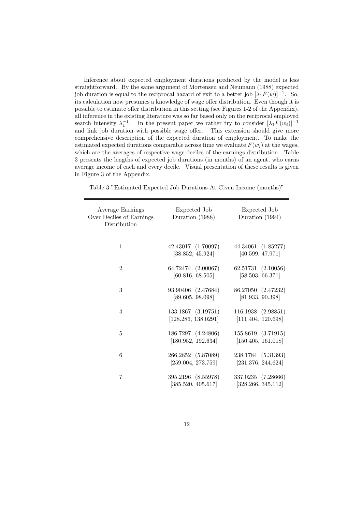Inference about expected employment durations predicted by the model is less straightforward. By the same argument of Mortensen and Neumann (1988) expected job duration is equal to the reciprocal hazard of exit to a better job  $[\lambda_1 \bar{F}(w)]^{-1}$ . So, its calculation now presumes a knowledge of wage offer distribution. Even though it is possible to estimate offer distribution in this setting (see Figures 1-2 of the Appendix), all inference in the existing literature was so far based only on the reciprocal employed search intensity  $\lambda_1^{-1}$ . In the present paper we rather try to consider  $[\lambda_1 \bar{F}(w_i)]^{-1}$ and link job duration with possible wage offer. This extension should give more comprehensive description of the expected duration of employment. To make the estimated expected durations comparable across time we evaluate  $\bar{F}(w_i)$  at the wages, which are the averages of respective wage deciles of the earnings distribution. Table 3 presents the lengths of expected job durations (in months) of an agent, who earns average income of each and every decile. Visual presentation of these results is given in Figure 3 of the Appendix.

| Average Earnings<br>Over Deciles of Earnings<br>Distribution | Expected Job<br>Duration (1988)           | Expected Job<br>Duration (1994)          |
|--------------------------------------------------------------|-------------------------------------------|------------------------------------------|
| $\mathbf{1}$                                                 | 42.43017 (1.70097)<br>[38.852, 45.924]    | 44.34061 (1.85277)<br>[40.599, 47.971]   |
| $\overline{2}$                                               | 64.72474 (2.00067)<br>[60.816, 68.505]    | 62.51731 (2.10056)<br>[58.503, 66.371]   |
| 3                                                            | 93.90406 (2.47684)<br>[89.605, 98.098]    | 86.27050 (2.47232)<br>[81.933, 90.398]   |
| 4                                                            | 133.1867 (3.19751)<br>[128.286, 138.0291] | 116.1938 (2.98851)<br>[111.404, 120.698] |
| 5                                                            | 186.7297 (4.24806)<br>[180.952, 192.634]  | 155.8619 (3.71915)<br>[150.405, 161.018] |
| 6                                                            | 266.2852 (5.87089)<br>[259.004, 273.759]  | 238.1784 (5.31393)<br>[231.376, 244.624] |
| 7                                                            | 395.2196 (8.55978)<br>[385.520, 405.617]  | 337.0235 (7.28666)<br>[328.266, 345.112] |

Table 3 "Estimated Expected Job Durations At Given Income (months)"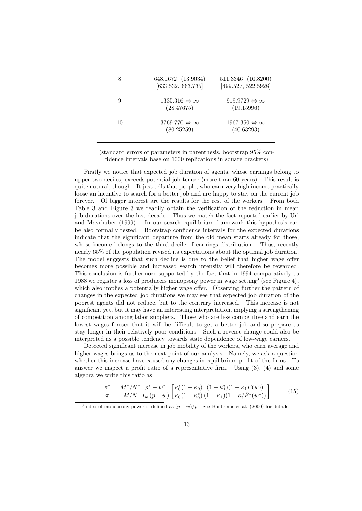|    | 648.1672 (13.9034)<br>[633.532, 663.735]        | 511.3346 (10.8200)<br>[499.527, 522.5928]       |
|----|-------------------------------------------------|-------------------------------------------------|
| 9  | $1335.316 \Leftrightarrow \infty$<br>(28.47675) | $919.9729 \Leftrightarrow \infty$<br>(19.15996) |
| 10 | $3769.770 \Leftrightarrow \infty$<br>(80.25259) | $1967.350 \Leftrightarrow \infty$<br>(40.63293) |

(standard errors of parameters in parenthesis, bootstrap 95% confidence intervals base on 1000 replications in square brackets)

Firstly we notice that expected job duration of agents, whose earnings belong to upper two deciles, exceeds potential job tenure (more than 60 years). This result is quite natural, though. It just tells that people, who earn very high income practically loose an incentive to search for a better job and are happy to stay on the current job forever. Of bigger interest are the results for the rest of the workers. From both Table 3 and Figure 3 we readily obtain the verification of the reduction in mean job durations over the last decade. Thus we match the fact reported earlier by Url and Mayrhuber (1999). In our search equilibrium framework this hypothesis can be also formally tested. Bootstrap confidence intervals for the expected durations indicate that the significant departure from the old mean starts already for those, whose income belongs to the third decile of earnings distribution. Thus, recently nearly 65% of the population revised its expectations about the optimal job duration. The model suggests that such decline is due to the belief that higher wage offer becomes more possible and increased search intensity will therefore be rewarded. This conclusion is furthermore supported by the fact that in 1994 comparatively to 1988 we register a loss of producers monopsony power in wage setting<sup>3</sup> (see Figure 4), which also implies a potentially higher wage offer. Observing further the pattern of changes in the expected job durations we may see that expected job duration of the poorest agents did not reduce, but to the contrary increased. This increase is not significant yet, but it may have an interesting interpretation, implying a strengthening of competition among labor suppliers. Those who are less competitive and earn the lowest wages foresee that it will be difficult to get a better job and so prepare to stay longer in their relatively poor conditions. Such a reverse change could also be interpreted as a possible tendency towards state dependence of low-wage earners.

Detected significant increase in job mobility of the workers, who earn average and higher wages brings us to the next point of our analysis. Namely, we ask a question whether this increase have caused any changes in equilibrium profit of the firms. To answer we inspect a profit ratio of a representative firm. Using (3), (4) and some algebra we write this ratio as

$$
\frac{\pi^*}{\pi} = \frac{M^*/N^*}{M/N} \frac{p^* - w^*}{I_w (p - w)} \left[ \frac{\kappa_0^*(1 + \kappa_0)}{\kappa_0 (1 + \kappa_0^*)} \frac{(1 + \kappa_1^*)(1 + \kappa_1 \bar{F}(w))}{(1 + \kappa_1)(1 + \kappa_1^* \bar{F}^*(w^*))} \right]
$$
(15)

<sup>&</sup>lt;sup>3</sup>Index of monopsony power is defined as  $(p - w)/p$ . See Bontemps et al. (2000) for details.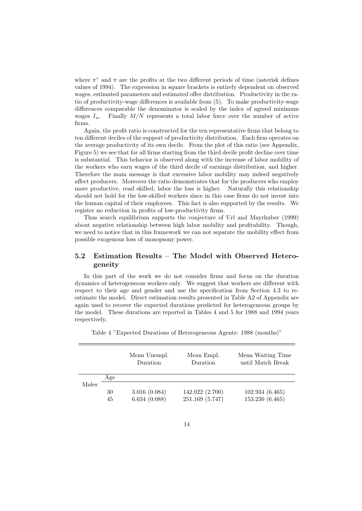where  $\pi^*$  and  $\pi$  are the profits at the two different periods of time (asterisk defines values of 1994). The expression in square brackets is entirely dependent on observed wages, estimated parameters and estimated offer distribution. Productivity in the ratio of productivity-wage differences is available from (5). To make productivity-wage differences comparable the denominator is scaled by the index of agreed minimum wages  $I_w$ . Finally  $M/N$  represents a total labor force over the number of active firms.

Again, the profit ratio is constructed for the ten representative firms that belong to ten different deciles of the support of productivity distribution. Each firm operates on the average productivity of its own decile. From the plot of this ratio (see Appendix, Figure 5) we see that for all firms starting from the third decile profit decline over time is substantial. This behavior is observed along with the increase of labor mobility of the workers who earn wages of the third decile of earnings distribution, and higher. Therefore the main message is that excessive labor mobility may indeed negatively affect producers. Moreover the ratio demonstrates that for the producers who employ more productive, read skilled, labor the loss is higher. Naturally this relationship should not hold for the low-skilled workers since in this case firms do not invest into the human capital of their employees. This fact is also supported by the results. We register no reduction in profits of low-productivity firms.

Thus search equilibrium supports the conjecture of Url and Mayrhuber (1999) about negative relationship between high labor mobility and profitability. Though, we need to notice that in this framework we can not separate the mobility effect from possible exogenous loss of monopsony power.

#### 5.2 Estimation Results – The Model with Observed Heterogeneity

In this part of the work we do not consider firms and focus on the duration dynamics of heterogeneous workers only. We suggest that workers are different with respect to their age and gender and use the specification from Section 4.3 to reestimate the model. Direct estimation results presented in Table A2 of Appendix are again used to recover the expected durations predicted for heterogeneous groups by the model. These durations are reported in Tables 4 and 5 for 1988 and 1994 years respectively.

|  | Table 4 "Expected Durations of Heterogeneous Agents: 1988 (months)" |
|--|---------------------------------------------------------------------|
|--|---------------------------------------------------------------------|

|       |              | Mean Unempl.<br>Duration | Mean Empl.<br>Duration | Mean Waiting Time<br>until Match Break |
|-------|--------------|--------------------------|------------------------|----------------------------------------|
|       | $_{\rm Age}$ |                          |                        |                                        |
| Males |              |                          |                        |                                        |
|       | 30           | 3.016(0.084)             | 142.022 (2.700)        | 102.934(6.465)                         |
|       | 45           | 6.634(0.088)             | 251.169 (5.747)        | 153.230 (6.465)                        |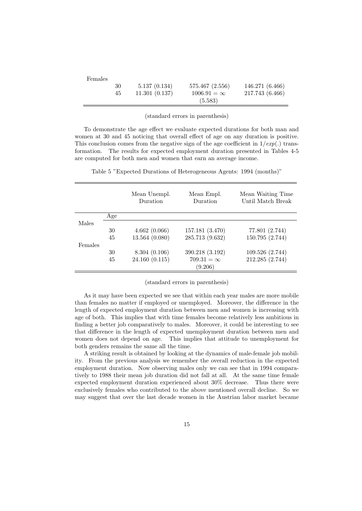| Females |    |               |                    |                 |
|---------|----|---------------|--------------------|-----------------|
|         | 30 | 5.137(0.134)  | 575.467 (2.556)    | 146.271 (6.466) |
|         | 45 | 11.301(0.137) | $1006.91 = \infty$ | 217.743 (6.466) |
|         |    |               | (5.583)            |                 |

(standard errors in parenthesis)

To demonstrate the age effect we evaluate expected durations for both man and women at 30 and 45 noticing that overall effect of age on any duration is positive. This conclusion comes from the negative sign of the age coefficient in  $1/exp(.)$  transformation. The results for expected employment duration presented in Tables 4-5 are computed for both men and women that earn an average income.

|         |     | Mean Unempl.<br>Duration | Mean Empl.<br>Duration | Mean Waiting Time<br>Until Match Break |
|---------|-----|--------------------------|------------------------|----------------------------------------|
|         | Age |                          |                        |                                        |
| Males   |     |                          |                        |                                        |
|         | 30  | 4.662(0.066)             | 157.181 (3.470)        | 77.801 (2.744)                         |
|         | 45  | 13.564 (0.080)           | 285.713 (9.632)        | 150.795 (2.744)                        |
| Females |     |                          |                        |                                        |
|         | 30  | 8.304(0.106)             | 390.218 (3.192)        | 109.526 (2.744)                        |
|         | 45  | 24.160 (0.115)           | $709.31 = \infty$      | 212.285 (2.744)                        |
|         |     |                          | (9.206)                |                                        |

Table 5 "Expected Durations of Heterogeneous Agents: 1994 (months)"

(standard errors in parenthesis)

As it may have been expected we see that within each year males are more mobile than females no matter if employed or unemployed. Moreover, the difference in the length of expected employment duration between men and women is increasing with age of both. This implies that with time females become relatively less ambitious in finding a better job comparatively to males. Moreover, it could be interesting to see that difference in the length of expected unemployment duration between men and women does not depend on age. This implies that attitude to unemployment for both genders remains the same all the time.

A striking result is obtained by looking at the dynamics of male-female job mobility. From the previous analysis we remember the overall reduction in the expected employment duration. Now observing males only we can see that in 1994 comparatively to 1988 their mean job duration did not fall at all. At the same time female expected employment duration experienced about 30% decrease. Thus there were exclusively females who contributed to the above mentioned overall decline. So we may suggest that over the last decade women in the Austrian labor market became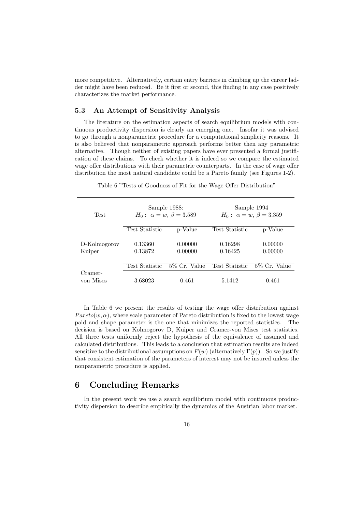more competitive. Alternatively, certain entry barriers in climbing up the career ladder might have been reduced. Be it first or second, this finding in any case positively characterizes the market performance.

#### 5.3 An Attempt of Sensitivity Analysis

The literature on the estimation aspects of search equilibrium models with continuous productivity dispersion is clearly an emerging one. Insofar it was advised to go through a nonparametric procedure for a computational simplicity reasons. It is also believed that nonparametric approach performs better then any parametric alternative. Though neither of existing papers have ever presented a formal justification of these claims. To check whether it is indeed so we compare the estimated wage offer distributions with their parametric counterparts. In the case of wage offer distribution the most natural candidate could be a Pareto family (see Figures 1-2).

| <b>Test</b>            | Sample 1988:<br>$H_0: \ \alpha = w, \ \beta = 3.589$ |                    | Sample 1994<br>$H_0: \ \alpha = w, \ \beta = 3.359$ |                    |
|------------------------|------------------------------------------------------|--------------------|-----------------------------------------------------|--------------------|
|                        | <b>Test Statistic</b>                                | p-Value            | Test Statistic                                      | p-Value            |
| D-Kolmogorov<br>Kuiper | 0.13360<br>0.13872                                   | 0.00000<br>0.00000 | 0.16298<br>0.16425                                  | 0.00000<br>0.00000 |
|                        | <b>Test Statistic</b>                                | 5\% Cr. Value      | Test Statistic                                      | 5\% Cr. Value      |
| Cramer-<br>von Mises   | 3.68023                                              | 0.461              | 5.1412                                              | 0.461              |

Table 6 "Tests of Goodness of Fit for the Wage Offer Distribution"

In Table 6 we present the results of testing the wage offer distribution against  $Pareto(w, \alpha)$ , where scale parameter of Pareto distribution is fixed to the lowest wage paid and shape parameter is the one that minimizes the reported statistics. The decision is based on Kolmogorov D, Kuiper and Cramer-von Mises test statistics. All three tests uniformly reject the hypothesis of the equivalence of assumed and calculated distributions. This leads to a conclusion that estimation results are indeed sensitive to the distributional assumptions on  $F(w)$  (alternatively  $\Gamma(p)$ ). So we justify that consistent estimation of the parameters of interest may not be insured unless the nonparametric procedure is applied.

#### 6 Concluding Remarks

In the present work we use a search equilibrium model with continuous productivity dispersion to describe empirically the dynamics of the Austrian labor market.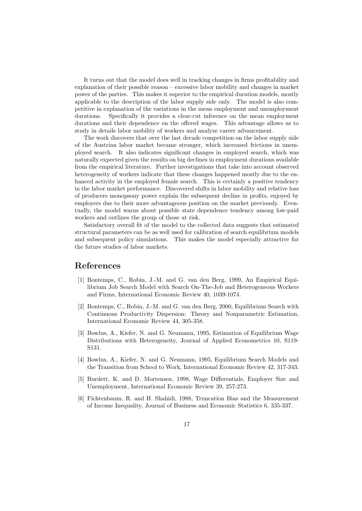It turns out that the model does well in tracking changes in firms profitability and explanation of their possible reason – excessive labor mobility and changes in market power of the parties. This makes it superior to the empirical duration models, mostly applicable to the description of the labor supply side only. The model is also competitive in explanation of the variations in the mean employment and unemployment durations. Specifically it provides a clear-cut inference on the mean employment durations and their dependence on the offered wages. This advantage allows us to study in details labor mobility of workers and analyze career advancement.

The work discovers that over the last decade competition on the labor supply side of the Austrian labor market became stronger, which increased frictions in unemployed search. It also indicates significant changes in employed search, which was naturally expected given the results on big declines in employment durations available from the empirical literature. Further investigations that take into account observed heterogeneity of workers indicate that these changes happened mostly due to the enhanced activity in the employed female search. This is certainly a positive tendency in the labor market performance. Discovered shifts in labor mobility and relative loss of producers monopsony power explain the subsequent decline in profits, enjoyed by employers due to their more advantageous position on the market previously. Eventually, the model warns about possible state dependence tendency among low-paid workers and outlines the group of those at risk.

Satisfactory overall fit of the model to the collected data suggests that estimated structural parameters can be as well used for calibration of search equilibrium models and subsequent policy simulations. This makes the model especially attractive for the future studies of labor markets.

#### References

- [1] Bontemps, C., Robin, J.-M. and G. van den Berg, 1999, An Empirical Equilibrium Job Search Model with Search On-The-Job and Heterogeneous Workers and Firms, International Economic Review 40, 1039-1074.
- [2] Bontemps, C., Robin, J.-M. and G. van den Berg, 2000, Equilibrium Search with Continuous Productivity Dispersion: Theory and Nonparametric Estimation, International Economic Review 44, 305-358.
- [3] Bowlus, A., Kiefer, N. and G. Neumann, 1995, Estimation of Equilibrium Wage Distributions with Heterogeneity, Journal of Applied Econometrics 10, S119- S131.
- [4] Bowlus, A., Kiefer, N. and G. Neumann, 1995, Equilibrium Search Models and the Transition from School to Work, International Economic Review 42, 317-343.
- [5] Burdett, K. and D. Mortensen, 1998, Wage Differentials, Employer Size and Unemployment, International Economic Review 39, 257-273.
- [6] Fichtenbaum, R. and H. Shahidi, 1988, Truncation Bias and the Measurement of Income Inequality, Journal of Business and Economic Statistics 6, 335-337.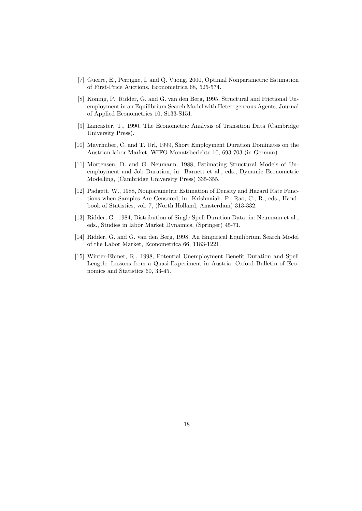- [7] Guerre, E., Perrigne, I. and Q. Vuong, 2000, Optimal Nonparametric Estimation of First-Price Auctions, Econometrica 68, 525-574.
- [8] Koning, P., Ridder, G. and G. van den Berg, 1995, Structural and Frictional Unemployment in an Equilibrium Search Model with Heterogeneous Agents, Journal of Applied Econometrics 10, S133-S151.
- [9] Lancaster, T., 1990, The Econometric Analysis of Transition Data (Cambridge University Press).
- [10] Mayrhuber, C. and T. Url, 1999, Short Employment Duration Dominates on the Austrian labor Market, WIFO Monatsberichte 10, 693-703 (in German).
- [11] Mortensen, D. and G. Neumann, 1988, Estimating Structural Models of Unemployment and Job Duration, in: Barnett et al., eds., Dynamic Econometric Modelling, (Cambridge University Press) 335-355.
- [12] Padgett, W., 1988, Nonparametric Estimation of Density and Hazard Rate Functions when Samples Are Censored, in: Krishnaiah, P., Rao, C., R., eds., Handbook of Statistics, vol. 7, (North Holland, Amsterdam) 313-332.
- [13] Ridder, G., 1984, Distribution of Single Spell Duration Data, in: Neumann et al., eds., Studies in labor Market Dynamics, (Springer) 45-71.
- [14] Ridder, G. and G. van den Berg, 1998, An Empirical Equilibrium Search Model of the Labor Market, Econometrica 66, 1183-1221.
- [15] Winter-Ebmer, R., 1998, Potential Unemployment Benefit Duration and Spell Length: Lessons from a Quasi-Experiment in Austria, Oxford Bulletin of Economics and Statistics 60, 33-45.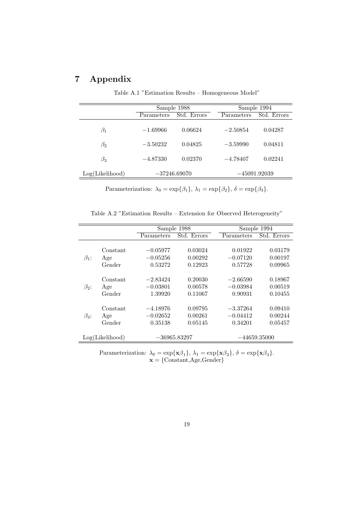# 7 Appendix

|                 |            | Sample 1988                      |            | Sample 1994 |
|-----------------|------------|----------------------------------|------------|-------------|
|                 | Parameters | Std. Errors                      | Parameters | Std. Errors |
| $\beta_1$       | $-1.69966$ | 0.06624                          | $-2.50854$ | 0.04287     |
| $\beta_2$       | $-3.50232$ | 0.04825                          | $-3.59990$ | 0.04811     |
| $\beta_3$       | $-4.87330$ | 0.02370                          | $-4.78407$ | 0.02241     |
| Log(Likelihood) |            | $-37246.69070$<br>$-45091.92039$ |            |             |

Table A.1 "Estimation Results – Homogeneous Model"

Parameterization:  $\lambda_0 = \exp{\{\beta_1\}}, \lambda_1 = \exp{\{\beta_2\}}, \delta = \exp{\{\beta_3\}}.$ 

Table A.2 "Estimation Results – Extension for Observed Heterogeneity"

|             |                 |            | Sample 1988    |            | Sample $1994$  |
|-------------|-----------------|------------|----------------|------------|----------------|
|             |                 | Parameters | Std. Errors    | Parameters | Std. Errors    |
|             |                 |            |                |            |                |
|             | Constant        | $-0.05977$ | 0.03024        | 0.01922    | 0.03179        |
| $\beta_1$ : | Age             | $-0.05256$ | 0.00292        | $-0.07120$ | 0.00197        |
|             | Gender          | 0.53272    | 0.12923        | 0.57728    | 0.09965        |
|             |                 |            |                |            |                |
|             | Constant        | $-2.83424$ | 0.20030        | $-2.66590$ | 0.18967        |
| $\beta_2$ : | Age             | $-0.03801$ | 0.00578        | $-0.03984$ | 0.00519        |
|             | Gender          | 1.39920    | 0.11067        | 0.90931    | 0.10455        |
|             |                 |            |                |            |                |
|             | Constant        | $-4.18976$ | 0.09795        | $-3.37264$ | 0.09410        |
| $\beta_3$ : | Age             | $-0.02652$ | 0.00261        | $-0.04412$ | 0.00244        |
|             | Gender          | 0.35138    | 0.05145        | 0.34201    | 0.05457        |
|             |                 |            |                |            |                |
|             | Log(Likelihood) |            | $-36965.83297$ |            | $-44659.35000$ |

Parameterization:  $\lambda_0 = \exp{\{\mathbf{x}\beta_1\}}, \lambda_1 = \exp{\{\mathbf{x}\beta_2\}}, \delta = \exp{\{\mathbf{x}\beta_3\}}.$  $\mathbf{x} = \{\text{Constant}, \text{Age}, \text{Gender}\}\$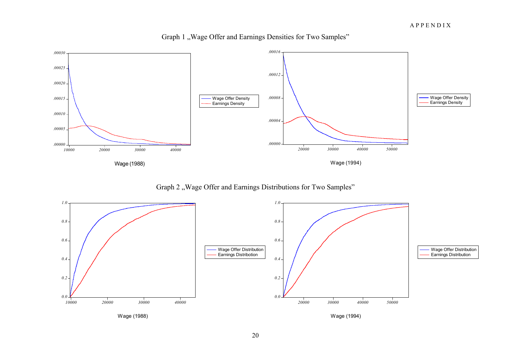

Graph 1 , Wage Offer and Earnings Densities for Two Samples"

Graph 2 "Wage Offer and Earnings Distributions for Two Samples"

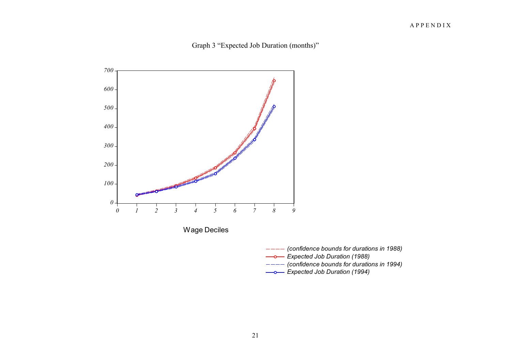



- *(confidence bounds for durations in 1988)*
- *Expected Job Duration (1988)*
- *(confidence bounds for durations in 1994)*
- *Expected Job Duration (1994)*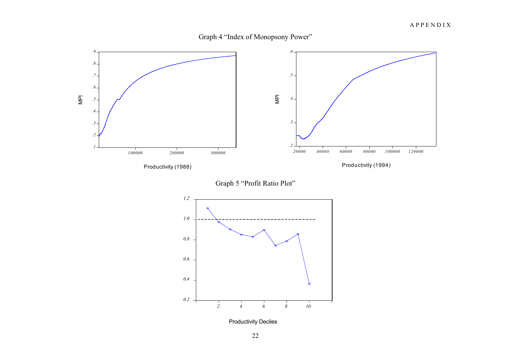



Graph 5 "Profit Ratio Plot"



Productivity Deciles